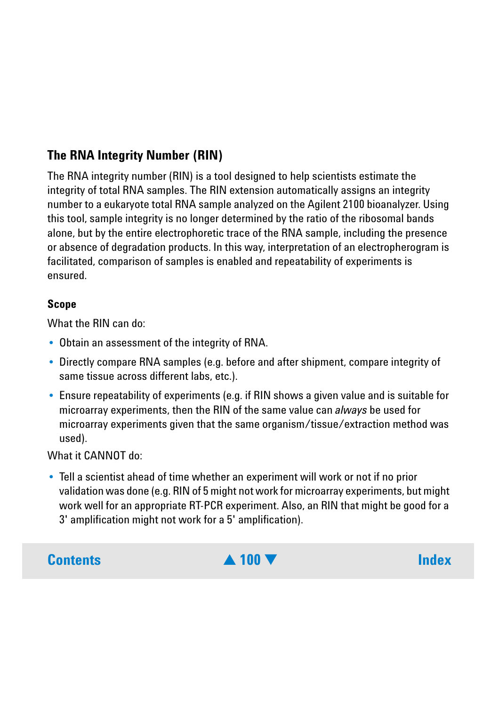# <span id="page-0-0"></span>**The RNA Integrity Number (RIN)**

The RNA integrity number (RIN) is a tool designed to help scientists estimate the integrity of total RNA samples. The RIN extension automatically assigns an integrity number to a eukaryote total RNA sample analyzed on the Agilent 2100 bioanalyzer. Using this tool, sample integrity is no longer determined by the ratio of the ribosomal bands alone, but by the entire electrophoretic trace of the RNA sample, including the presence or absence of degradation products. In this way, interpretation of an electropherogram is facilitated, comparison of samples is enabled and repeatability of experiments is ensured.

# **Scope**

What the RIN can do:

- **•** Obtain an assessment of the integrity of RNA.
- **•** Directly compare RNA samples (e.g. before and after shipment, compare integrity of same tissue across different labs, etc.).
- **•** Ensure repeatability of experiments (e.g. if RIN shows a given value and is suitable for microarray experiments, then the RIN of the same value can *always* be used for microarray experiments given that the same organism/tissue/extraction method was used).

What it CANNOT do:

**•** Tell a scientist ahead of time whether an experiment will work or not if no prior validation was done (e.g. RIN of 5 might not work for microarray experiments, but might work well for an appropriate RT-PCR experiment. Also, an RIN that might be good for a 3' amplification might not work for a 5' amplification).

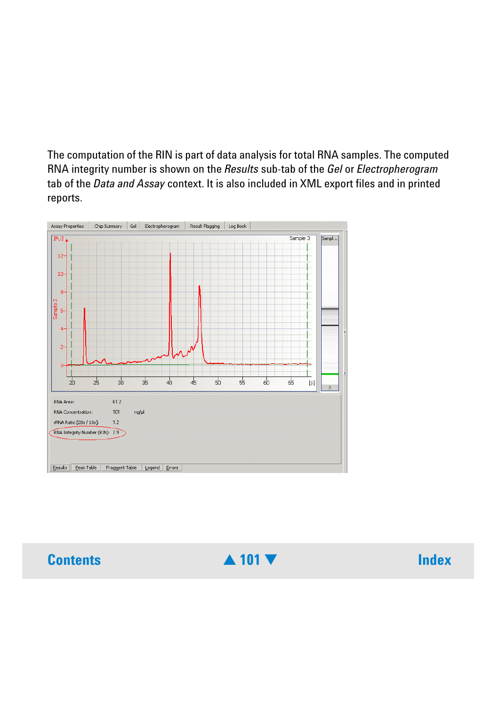<span id="page-1-0"></span>The computation of the RIN is part of data analysis for total RNA samples. The computed RNA integrity number is shown on the *Results* sub-tab of the *Gel* or *Electropherogram* tab of the *Data and Assay* context. It is also included in XML export files and in printed reports.



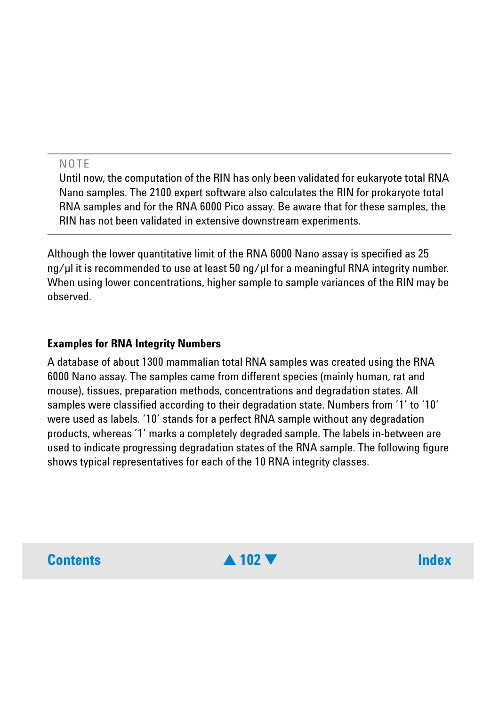# <span id="page-2-0"></span>**NOTE**

Until now, the computation of the RIN has only been validated for eukaryote total RNA Nano samples. The 2100 expert software also calculates the RIN for prokaryote total RNA samples and for the RNA 6000 Pico assay. Be aware that for these samples, the RIN has not been validated in extensive downstream experiments.

Although the lower quantitative limit of the RNA 6000 Nano assay is specified as 25 ng/ul it is recommended to use at least 50 ng/ul for a meaningful RNA integrity number. When using lower concentrations, higher sample to sample variances of the RIN may be observed.

## **Examples for RNA Integrity Numbers**

A database of about 1300 mammalian total RNA samples was created using the RNA 6000 Nano assay. The samples came from different species (mainly human, rat and mouse), tissues, preparation methods, concentrations and degradation states. All samples were classified according to their degradation state. Numbers from '1' to '10' were used as labels. '10' stands for a perfect RNA sample without any degradation products, whereas '1' marks a completely degraded sample. The labels in-between are used to indicate progressing degradation states of the RNA sample. The following figure shows typical representatives for each of the 10 RNA integrity classes.

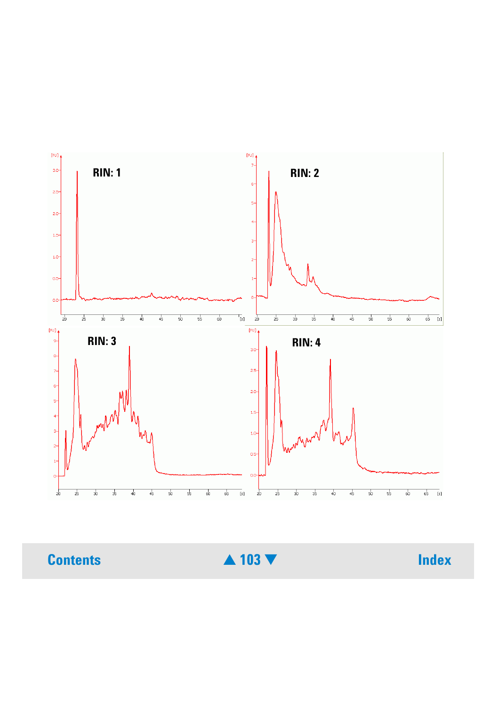<span id="page-3-0"></span>

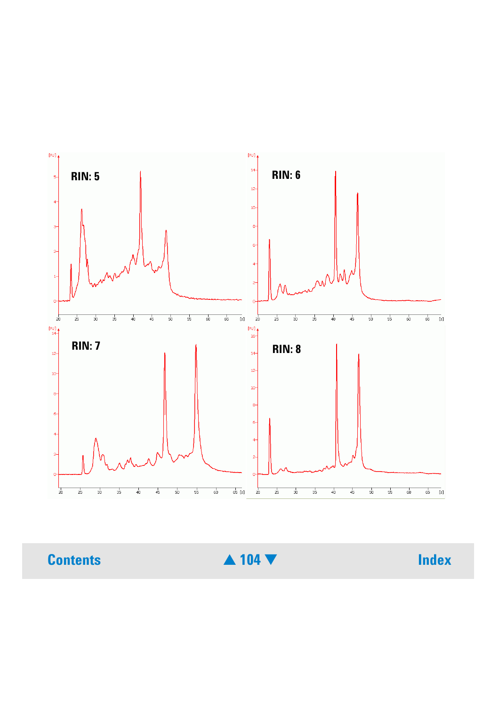<span id="page-4-0"></span>

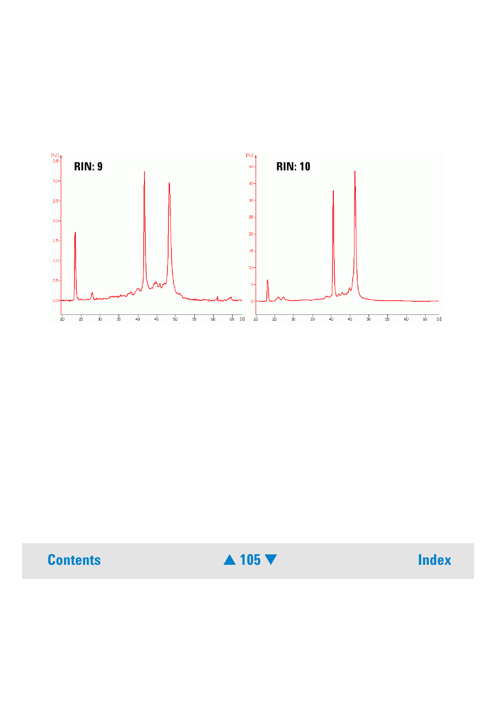<span id="page-5-0"></span>

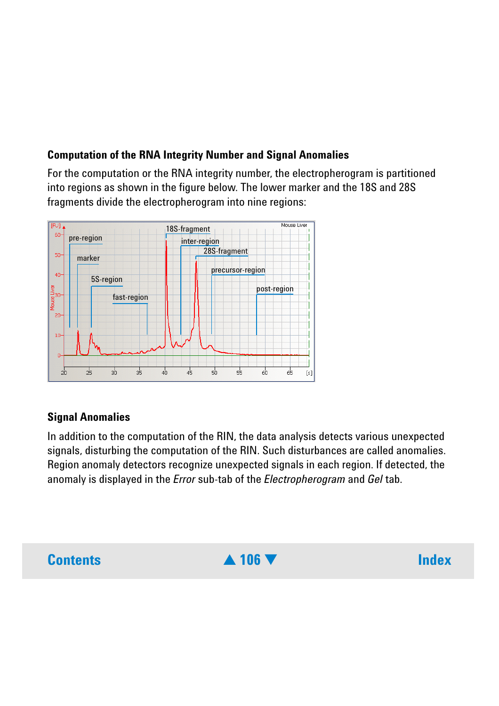# <span id="page-6-0"></span>**Computation of the RNA Integrity Number and Signal Anomalies**

For the computation or the RNA integrity number, the electropherogram is partitioned into regions as shown in the figure below. The lower marker and the 18S and 28S fragments divide the electropherogram into nine regions:



# **Signal Anomalies**

In addition to the computation of the RIN, the data analysis detects various unexpected signals, disturbing the computation of the RIN. Such disturbances are called anomalies. Region anomaly detectors recognize unexpected signals in each region. If detected, the anomaly is displayed in the *Error* sub-tab of the *Electropherogram* and *Gel* tab.

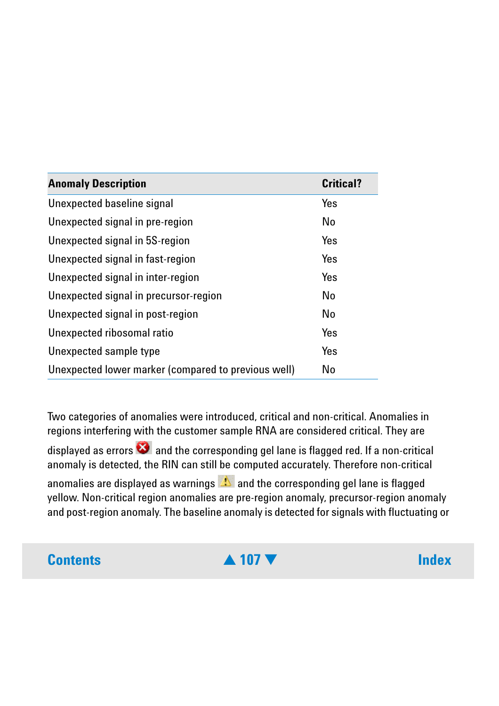<span id="page-7-0"></span>

| <b>Anomaly Description</b>                          | <b>Critical?</b> |
|-----------------------------------------------------|------------------|
| Unexpected baseline signal                          | Yes              |
| Unexpected signal in pre-region                     | <b>No</b>        |
| Unexpected signal in 5S-region                      | Yes              |
| Unexpected signal in fast-region                    | Yes              |
| Unexpected signal in inter-region                   | Yes              |
| Unexpected signal in precursor-region               | <b>No</b>        |
| Unexpected signal in post-region                    | <b>No</b>        |
| Unexpected ribosomal ratio                          | Yes              |
| Unexpected sample type                              | Yes              |
| Unexpected lower marker (compared to previous well) | No               |

Two categories of anomalies were introduced, critical and non-critical. Anomalies in regions interfering with the customer sample RNA are considered critical. They are displayed as errors  $\bullet$  and the corresponding gel lane is flagged red. If a non-critical anomaly is detected, the RIN can still be computed accurately. Therefore non-critical anomalies are displayed as warnings  $\mathbb{R}$  and the corresponding gel lane is flagged yellow. Non-critical region anomalies are pre-region anomaly, precursor-region anomaly and post-region anomaly. The baseline anomaly is detected for signals with fluctuating or

# **Contents** [▲](#page-6-0) **107** [▼](#page-8-0) **Index**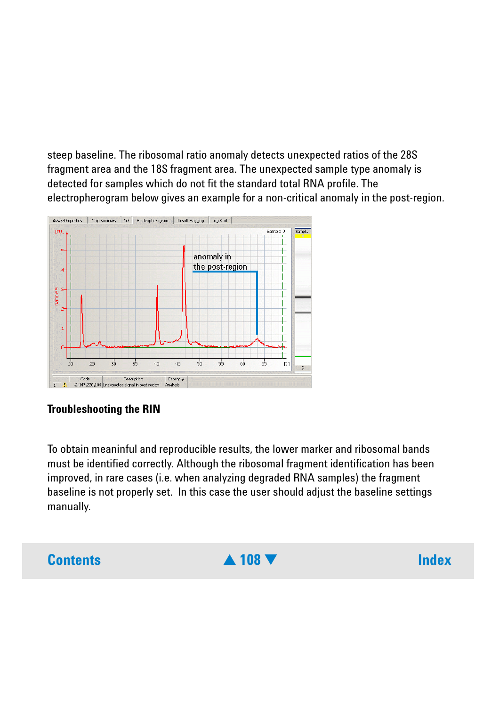<span id="page-8-0"></span>steep baseline. The ribosomal ratio anomaly detects unexpected ratios of the 28S fragment area and the 18S fragment area. The unexpected sample type anomaly is detected for samples which do not fit the standard total RNA profile. The electropherogram below gives an example for a non-critical anomaly in the post-region.



## **Troubleshooting the RIN**

To obtain meaninful and reproducible results, the lower marker and ribosomal bands must be identified correctly. Although the ribosomal fragment identification has been improved, in rare cases (i.e. when analyzing degraded RNA samples) the fragment baseline is not properly set. In this case the user should adjust the baseline settings manually.

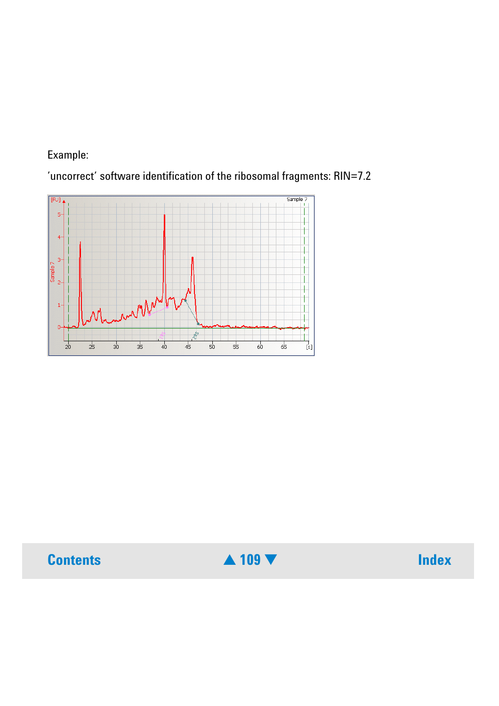## <span id="page-9-0"></span>Example:

'uncorrect' software identification of the ribosomal fragments: RIN=7.2





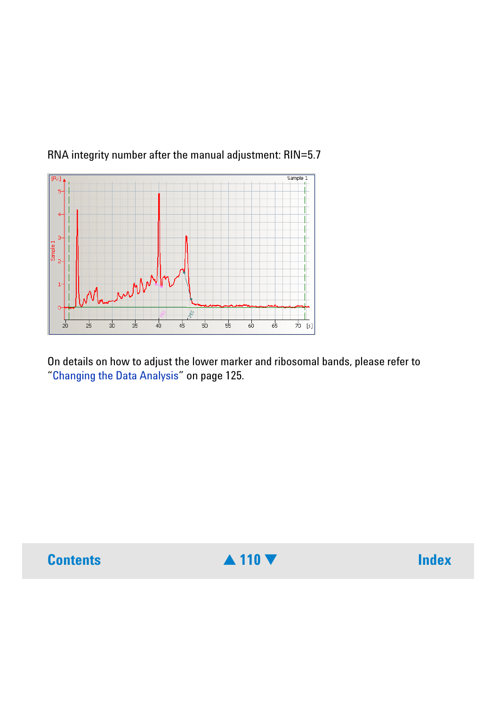## <span id="page-10-0"></span>RNA integrity number after the manual adjustment: RIN=5.7



On details on how to adjust the lower marker and ribosomal bands, please refer to "Changing the Data Analysis" on page 125.



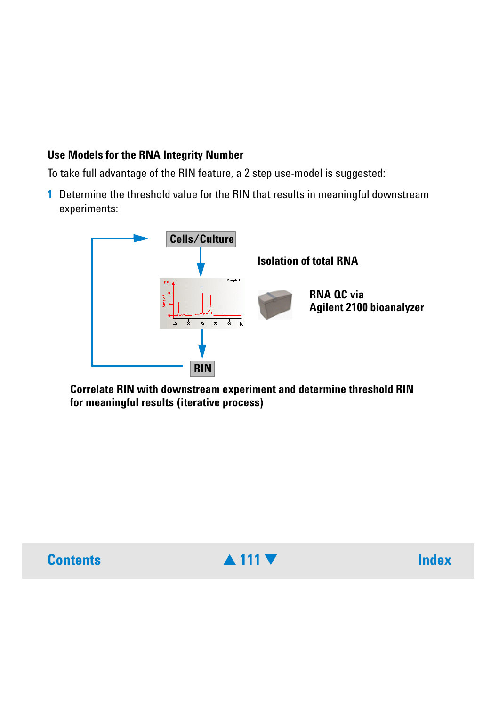# <span id="page-11-0"></span>**Use Models for the RNA Integrity Number**

To take full advantage of the RIN feature, a 2 step use-model is suggested:

**1** Determine the threshold value for the RIN that results in meaningful downstream experiments:



**Correlate RIN with downstream experiment and determine threshold RIN for meaningful results (iterative process)**



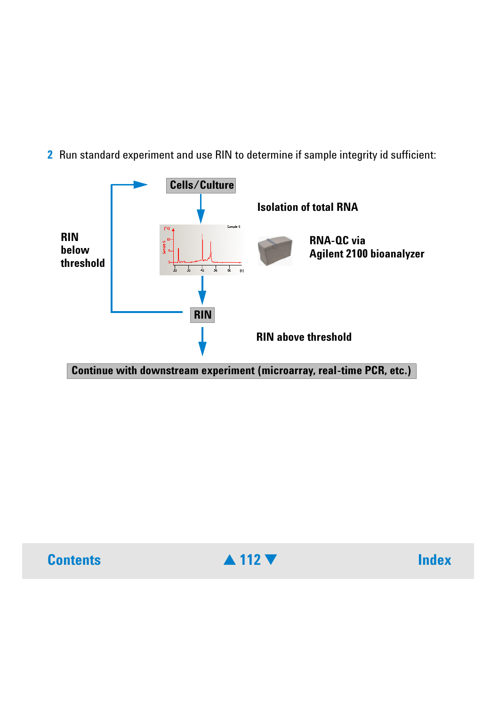<span id="page-12-0"></span>**2** Run standard experiment and use RIN to determine if sample integrity id sufficient: